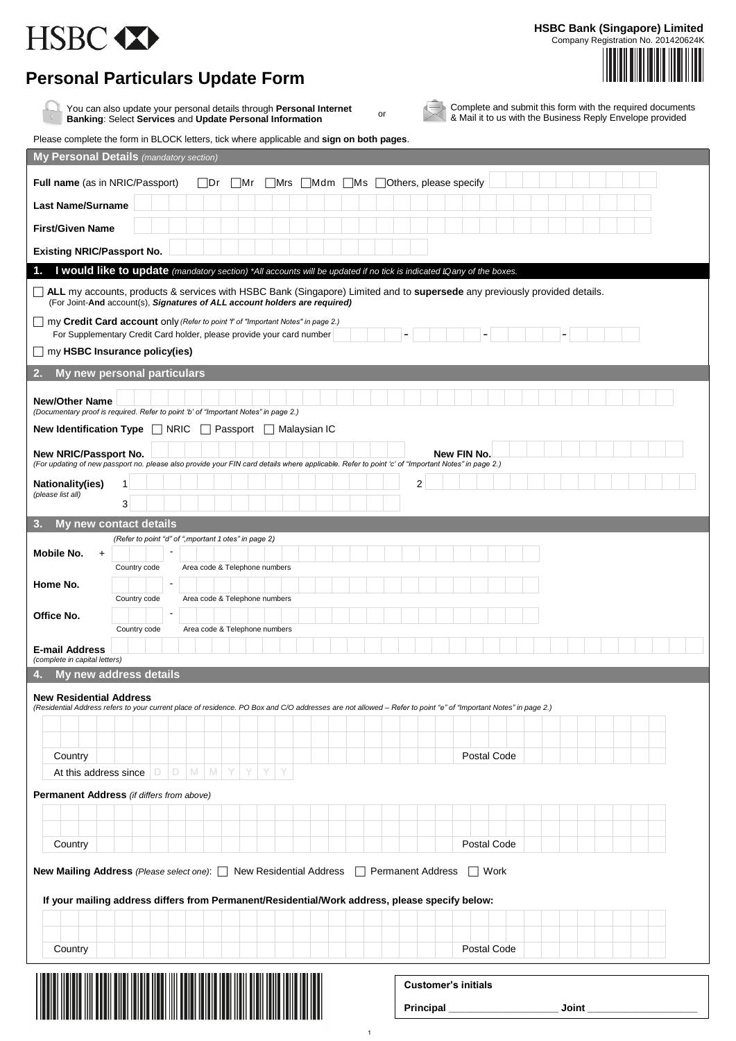## HSBC <>>

**HSBC Bank (Singapore) Limited**

Company Registration No. 201420624K

## **Personal Particulars Update Form**

You can also update your personal details through **Personal Internet Banking**: Select **Services** and **Update Personal Information**

or

Complete and submit this form with the required documents & Mail it to us with the Business Reply Envelope provided

| Please complete the form in BLOCK letters, tick where applicable and sign on both pages.                                                                                                                |                                  |
|---------------------------------------------------------------------------------------------------------------------------------------------------------------------------------------------------------|----------------------------------|
| <b>My Personal Details</b> (mandatory section)                                                                                                                                                          |                                  |
| Full name (as in NRIC/Passport)<br>⊟Dr<br>⊺Ms<br> Mr<br> Mrs<br> Mdm                                                                                                                                    | Others, please specify           |
| <b>Last Name/Surname</b>                                                                                                                                                                                |                                  |
| <b>First/Given Name</b>                                                                                                                                                                                 |                                  |
| <b>Existing NRIC/Passport No.</b>                                                                                                                                                                       |                                  |
| I would like to update (mandatory section) *All accounts will be updated if no tick is indicated § any of the boxes.<br>1.                                                                              |                                  |
| ALL my accounts, products & services with HSBC Bank (Singapore) Limited and to supersede any previously provided details.<br>(For Joint-And account(s), Signatures of ALL account holders are required) |                                  |
| my Credit Card account only (Refer to point 'f' of "Important Notes" in page 2.)<br>For Supplementary Credit Card holder, please provide your card number                                               |                                  |
| $\Box$ my HSBC Insurance policy(ies)                                                                                                                                                                    |                                  |
| 2.<br>My new personal particulars                                                                                                                                                                       |                                  |
| <b>New/Other Name</b><br>(Documentary proof is required. Refer to point 'b' of "Important Notes" in page 2.)                                                                                            |                                  |
| New Identification Type   NRIC   Passport   Malaysian IC                                                                                                                                                |                                  |
| New NRIC/Passport No.                                                                                                                                                                                   | New FIN No.                      |
| (For updating of new passport no. please also provide your FIN card details where applicable. Refer to point 'c' of "Important Notes" in page 2.)                                                       |                                  |
| Nationality(ies)<br>1 <sup>1</sup><br>(please list all)<br>3                                                                                                                                            | $\overline{2}$                   |
| 3.<br>My new contact details                                                                                                                                                                            |                                  |
| (Refer to point "d" of "@nportant Potes" in page 2.)<br>$\blacksquare$<br>Mobile No.<br>$\ddot{}$<br>Area code & Telephone numbers<br>Country code                                                      |                                  |
| ä,<br>Home No.<br>Area code & Telephone numbers<br>Country code                                                                                                                                         |                                  |
| Office No.                                                                                                                                                                                              |                                  |
| Country code<br>Area code & Telephone numbers                                                                                                                                                           |                                  |
| <b>E-mail Address</b><br>(complete in capital letters)                                                                                                                                                  |                                  |
| My new address details<br>4.                                                                                                                                                                            |                                  |
| <b>New Residential Address</b><br>(Residential Address refers to your current place of residence. PO Box and C/O addresses are not allowed - Refer to point "e" of "Important Notes" in page 2.)        |                                  |
|                                                                                                                                                                                                         |                                  |
| Country                                                                                                                                                                                                 | Postal Code                      |
| Y<br>$\mathbb D$<br>D<br>M<br>M<br>Y<br>Y<br>At this address since                                                                                                                                      |                                  |
| <b>Permanent Address</b> (if differs from above)                                                                                                                                                        |                                  |
|                                                                                                                                                                                                         |                                  |
|                                                                                                                                                                                                         |                                  |
| Country                                                                                                                                                                                                 | Postal Code                      |
| New Mailing Address (Please select one): New Residential Address                                                                                                                                        | <b>Permanent Address</b><br>Work |
| If your mailing address differs from Permanent/Residential/Work address, please specify below:                                                                                                          |                                  |
|                                                                                                                                                                                                         |                                  |
| Country                                                                                                                                                                                                 | Postal Code                      |
|                                                                                                                                                                                                         |                                  |
| <b>Customer's initials</b>                                                                                                                                                                              |                                  |
|                                                                                                                                                                                                         | Principal<br>Joint               |

1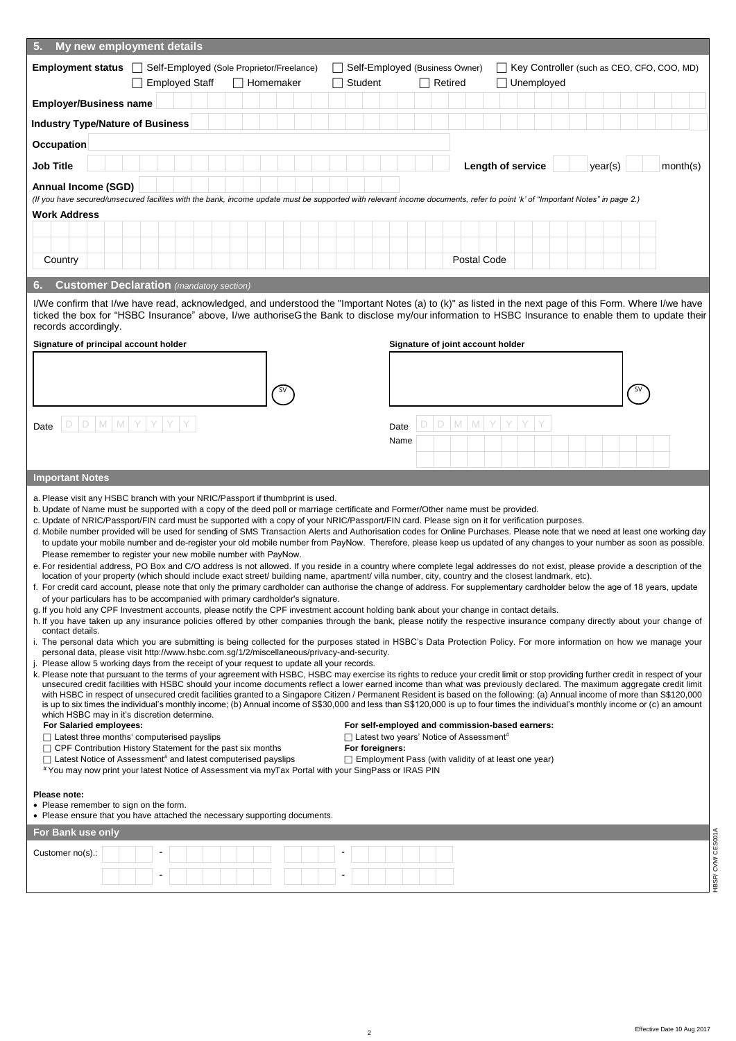| 5.<br>My new employment details                                                                                                                                                                                                                                                                                                                                                                                                                                                                                                                                                                                                                                                                                                                                                                                                                                                                                                                                                                                                                                                                                                                                                                                                                                                                                                                                                                                                                                                                                                                                                                                                                                                                                                                                                                                                                                                                                                                                                                                                                                                                                                                                                                                                                                                                                                                                                                                                                                                                                                                                                                                                                                                                                                                                                                                                                                                                                                                                                                                                                                                                                                                                                                                                                                                                                                                                                                                                                          |  |
|----------------------------------------------------------------------------------------------------------------------------------------------------------------------------------------------------------------------------------------------------------------------------------------------------------------------------------------------------------------------------------------------------------------------------------------------------------------------------------------------------------------------------------------------------------------------------------------------------------------------------------------------------------------------------------------------------------------------------------------------------------------------------------------------------------------------------------------------------------------------------------------------------------------------------------------------------------------------------------------------------------------------------------------------------------------------------------------------------------------------------------------------------------------------------------------------------------------------------------------------------------------------------------------------------------------------------------------------------------------------------------------------------------------------------------------------------------------------------------------------------------------------------------------------------------------------------------------------------------------------------------------------------------------------------------------------------------------------------------------------------------------------------------------------------------------------------------------------------------------------------------------------------------------------------------------------------------------------------------------------------------------------------------------------------------------------------------------------------------------------------------------------------------------------------------------------------------------------------------------------------------------------------------------------------------------------------------------------------------------------------------------------------------------------------------------------------------------------------------------------------------------------------------------------------------------------------------------------------------------------------------------------------------------------------------------------------------------------------------------------------------------------------------------------------------------------------------------------------------------------------------------------------------------------------------------------------------------------------------------------------------------------------------------------------------------------------------------------------------------------------------------------------------------------------------------------------------------------------------------------------------------------------------------------------------------------------------------------------------------------------------------------------------------------------------------------------------|--|
| Employment status $\Box$<br>Self-Employed (Sole Proprietor/Freelance)<br>Self-Employed (Business Owner)<br>Key Controller (such as CEO, CFO, COO, MD)                                                                                                                                                                                                                                                                                                                                                                                                                                                                                                                                                                                                                                                                                                                                                                                                                                                                                                                                                                                                                                                                                                                                                                                                                                                                                                                                                                                                                                                                                                                                                                                                                                                                                                                                                                                                                                                                                                                                                                                                                                                                                                                                                                                                                                                                                                                                                                                                                                                                                                                                                                                                                                                                                                                                                                                                                                                                                                                                                                                                                                                                                                                                                                                                                                                                                                    |  |
| <b>Employed Staff</b><br>Homemaker<br>Student<br>$\Box$ Retired<br>Unemployed                                                                                                                                                                                                                                                                                                                                                                                                                                                                                                                                                                                                                                                                                                                                                                                                                                                                                                                                                                                                                                                                                                                                                                                                                                                                                                                                                                                                                                                                                                                                                                                                                                                                                                                                                                                                                                                                                                                                                                                                                                                                                                                                                                                                                                                                                                                                                                                                                                                                                                                                                                                                                                                                                                                                                                                                                                                                                                                                                                                                                                                                                                                                                                                                                                                                                                                                                                            |  |
| <b>Employer/Business name</b>                                                                                                                                                                                                                                                                                                                                                                                                                                                                                                                                                                                                                                                                                                                                                                                                                                                                                                                                                                                                                                                                                                                                                                                                                                                                                                                                                                                                                                                                                                                                                                                                                                                                                                                                                                                                                                                                                                                                                                                                                                                                                                                                                                                                                                                                                                                                                                                                                                                                                                                                                                                                                                                                                                                                                                                                                                                                                                                                                                                                                                                                                                                                                                                                                                                                                                                                                                                                                            |  |
| <b>Industry Type/Nature of Business</b>                                                                                                                                                                                                                                                                                                                                                                                                                                                                                                                                                                                                                                                                                                                                                                                                                                                                                                                                                                                                                                                                                                                                                                                                                                                                                                                                                                                                                                                                                                                                                                                                                                                                                                                                                                                                                                                                                                                                                                                                                                                                                                                                                                                                                                                                                                                                                                                                                                                                                                                                                                                                                                                                                                                                                                                                                                                                                                                                                                                                                                                                                                                                                                                                                                                                                                                                                                                                                  |  |
| Occupation                                                                                                                                                                                                                                                                                                                                                                                                                                                                                                                                                                                                                                                                                                                                                                                                                                                                                                                                                                                                                                                                                                                                                                                                                                                                                                                                                                                                                                                                                                                                                                                                                                                                                                                                                                                                                                                                                                                                                                                                                                                                                                                                                                                                                                                                                                                                                                                                                                                                                                                                                                                                                                                                                                                                                                                                                                                                                                                                                                                                                                                                                                                                                                                                                                                                                                                                                                                                                                               |  |
| <b>Job Title</b><br>Length of service<br>month(s)<br>year(s)                                                                                                                                                                                                                                                                                                                                                                                                                                                                                                                                                                                                                                                                                                                                                                                                                                                                                                                                                                                                                                                                                                                                                                                                                                                                                                                                                                                                                                                                                                                                                                                                                                                                                                                                                                                                                                                                                                                                                                                                                                                                                                                                                                                                                                                                                                                                                                                                                                                                                                                                                                                                                                                                                                                                                                                                                                                                                                                                                                                                                                                                                                                                                                                                                                                                                                                                                                                             |  |
| <b>Annual Income (SGD)</b>                                                                                                                                                                                                                                                                                                                                                                                                                                                                                                                                                                                                                                                                                                                                                                                                                                                                                                                                                                                                                                                                                                                                                                                                                                                                                                                                                                                                                                                                                                                                                                                                                                                                                                                                                                                                                                                                                                                                                                                                                                                                                                                                                                                                                                                                                                                                                                                                                                                                                                                                                                                                                                                                                                                                                                                                                                                                                                                                                                                                                                                                                                                                                                                                                                                                                                                                                                                                                               |  |
| (If you have secured/unsecured facilites with the bank, income update must be supported with relevant income documents, refer to point 'k' of "Important Notes" in page 2.)<br><b>Work Address</b>                                                                                                                                                                                                                                                                                                                                                                                                                                                                                                                                                                                                                                                                                                                                                                                                                                                                                                                                                                                                                                                                                                                                                                                                                                                                                                                                                                                                                                                                                                                                                                                                                                                                                                                                                                                                                                                                                                                                                                                                                                                                                                                                                                                                                                                                                                                                                                                                                                                                                                                                                                                                                                                                                                                                                                                                                                                                                                                                                                                                                                                                                                                                                                                                                                                       |  |
|                                                                                                                                                                                                                                                                                                                                                                                                                                                                                                                                                                                                                                                                                                                                                                                                                                                                                                                                                                                                                                                                                                                                                                                                                                                                                                                                                                                                                                                                                                                                                                                                                                                                                                                                                                                                                                                                                                                                                                                                                                                                                                                                                                                                                                                                                                                                                                                                                                                                                                                                                                                                                                                                                                                                                                                                                                                                                                                                                                                                                                                                                                                                                                                                                                                                                                                                                                                                                                                          |  |
|                                                                                                                                                                                                                                                                                                                                                                                                                                                                                                                                                                                                                                                                                                                                                                                                                                                                                                                                                                                                                                                                                                                                                                                                                                                                                                                                                                                                                                                                                                                                                                                                                                                                                                                                                                                                                                                                                                                                                                                                                                                                                                                                                                                                                                                                                                                                                                                                                                                                                                                                                                                                                                                                                                                                                                                                                                                                                                                                                                                                                                                                                                                                                                                                                                                                                                                                                                                                                                                          |  |
| Postal Code<br>Country                                                                                                                                                                                                                                                                                                                                                                                                                                                                                                                                                                                                                                                                                                                                                                                                                                                                                                                                                                                                                                                                                                                                                                                                                                                                                                                                                                                                                                                                                                                                                                                                                                                                                                                                                                                                                                                                                                                                                                                                                                                                                                                                                                                                                                                                                                                                                                                                                                                                                                                                                                                                                                                                                                                                                                                                                                                                                                                                                                                                                                                                                                                                                                                                                                                                                                                                                                                                                                   |  |
| <b>Customer Declaration</b> (mandatory section)<br>6.                                                                                                                                                                                                                                                                                                                                                                                                                                                                                                                                                                                                                                                                                                                                                                                                                                                                                                                                                                                                                                                                                                                                                                                                                                                                                                                                                                                                                                                                                                                                                                                                                                                                                                                                                                                                                                                                                                                                                                                                                                                                                                                                                                                                                                                                                                                                                                                                                                                                                                                                                                                                                                                                                                                                                                                                                                                                                                                                                                                                                                                                                                                                                                                                                                                                                                                                                                                                    |  |
| I/We confirm that I/we have read, acknowledged, and understood the "Important Notes (a) to (k)" as listed in the next page of this Form. Where I/we have<br>ticked the box for "HSBC Insurance" above, I/we authorisea the Bank to disclose my/our information to HSBC Insurance to enable them to update their<br>records accordingly.                                                                                                                                                                                                                                                                                                                                                                                                                                                                                                                                                                                                                                                                                                                                                                                                                                                                                                                                                                                                                                                                                                                                                                                                                                                                                                                                                                                                                                                                                                                                                                                                                                                                                                                                                                                                                                                                                                                                                                                                                                                                                                                                                                                                                                                                                                                                                                                                                                                                                                                                                                                                                                                                                                                                                                                                                                                                                                                                                                                                                                                                                                                  |  |
| Signature of principal account holder<br>Signature of joint account holder                                                                                                                                                                                                                                                                                                                                                                                                                                                                                                                                                                                                                                                                                                                                                                                                                                                                                                                                                                                                                                                                                                                                                                                                                                                                                                                                                                                                                                                                                                                                                                                                                                                                                                                                                                                                                                                                                                                                                                                                                                                                                                                                                                                                                                                                                                                                                                                                                                                                                                                                                                                                                                                                                                                                                                                                                                                                                                                                                                                                                                                                                                                                                                                                                                                                                                                                                                               |  |
|                                                                                                                                                                                                                                                                                                                                                                                                                                                                                                                                                                                                                                                                                                                                                                                                                                                                                                                                                                                                                                                                                                                                                                                                                                                                                                                                                                                                                                                                                                                                                                                                                                                                                                                                                                                                                                                                                                                                                                                                                                                                                                                                                                                                                                                                                                                                                                                                                                                                                                                                                                                                                                                                                                                                                                                                                                                                                                                                                                                                                                                                                                                                                                                                                                                                                                                                                                                                                                                          |  |
|                                                                                                                                                                                                                                                                                                                                                                                                                                                                                                                                                                                                                                                                                                                                                                                                                                                                                                                                                                                                                                                                                                                                                                                                                                                                                                                                                                                                                                                                                                                                                                                                                                                                                                                                                                                                                                                                                                                                                                                                                                                                                                                                                                                                                                                                                                                                                                                                                                                                                                                                                                                                                                                                                                                                                                                                                                                                                                                                                                                                                                                                                                                                                                                                                                                                                                                                                                                                                                                          |  |
|                                                                                                                                                                                                                                                                                                                                                                                                                                                                                                                                                                                                                                                                                                                                                                                                                                                                                                                                                                                                                                                                                                                                                                                                                                                                                                                                                                                                                                                                                                                                                                                                                                                                                                                                                                                                                                                                                                                                                                                                                                                                                                                                                                                                                                                                                                                                                                                                                                                                                                                                                                                                                                                                                                                                                                                                                                                                                                                                                                                                                                                                                                                                                                                                                                                                                                                                                                                                                                                          |  |
| D<br>M<br>M<br>D<br>D<br>M<br>M<br>D<br>Date<br>Date                                                                                                                                                                                                                                                                                                                                                                                                                                                                                                                                                                                                                                                                                                                                                                                                                                                                                                                                                                                                                                                                                                                                                                                                                                                                                                                                                                                                                                                                                                                                                                                                                                                                                                                                                                                                                                                                                                                                                                                                                                                                                                                                                                                                                                                                                                                                                                                                                                                                                                                                                                                                                                                                                                                                                                                                                                                                                                                                                                                                                                                                                                                                                                                                                                                                                                                                                                                                     |  |
| Name                                                                                                                                                                                                                                                                                                                                                                                                                                                                                                                                                                                                                                                                                                                                                                                                                                                                                                                                                                                                                                                                                                                                                                                                                                                                                                                                                                                                                                                                                                                                                                                                                                                                                                                                                                                                                                                                                                                                                                                                                                                                                                                                                                                                                                                                                                                                                                                                                                                                                                                                                                                                                                                                                                                                                                                                                                                                                                                                                                                                                                                                                                                                                                                                                                                                                                                                                                                                                                                     |  |
|                                                                                                                                                                                                                                                                                                                                                                                                                                                                                                                                                                                                                                                                                                                                                                                                                                                                                                                                                                                                                                                                                                                                                                                                                                                                                                                                                                                                                                                                                                                                                                                                                                                                                                                                                                                                                                                                                                                                                                                                                                                                                                                                                                                                                                                                                                                                                                                                                                                                                                                                                                                                                                                                                                                                                                                                                                                                                                                                                                                                                                                                                                                                                                                                                                                                                                                                                                                                                                                          |  |
| <b>Important Notes</b>                                                                                                                                                                                                                                                                                                                                                                                                                                                                                                                                                                                                                                                                                                                                                                                                                                                                                                                                                                                                                                                                                                                                                                                                                                                                                                                                                                                                                                                                                                                                                                                                                                                                                                                                                                                                                                                                                                                                                                                                                                                                                                                                                                                                                                                                                                                                                                                                                                                                                                                                                                                                                                                                                                                                                                                                                                                                                                                                                                                                                                                                                                                                                                                                                                                                                                                                                                                                                                   |  |
| a. Please visit any HSBC branch with your NRIC/Passport if thumbprint is used.<br>b. Update of Name must be supported with a copy of the deed poll or marriage certificate and Former/Other name must be provided.<br>c. Update of NRIC/Passport/FIN card must be supported with a copy of your NRIC/Passport/FIN card. Please sign on it for verification purposes.<br>d. Mobile number provided will be used for sending of SMS Transaction Alerts and Authorisation codes for Online Purchases. Please note that we need at least one working day<br>to update your mobile number and de-register your old mobile number from PayNow. Therefore, please keep us updated of any changes to your number as soon as possible.<br>Please remember to register your new mobile number with PayNow.<br>e. For residential address, PO Box and C/O address is not allowed. If you reside in a country where complete legal addresses do not exist, please provide a description of the<br>location of your property (which should include exact street/ building name, apartment/ villa number, city, country and the closest landmark, etc).<br>f. For credit card account, please note that only the primary cardholder can authorise the change of address. For supplementary cardholder below the age of 18 years, update<br>of your particulars has to be accompanied with primary cardholder's signature.<br>g. If you hold any CPF Investment accounts, please notify the CPF investment account holding bank about your change in contact details.<br>h. If you have taken up any insurance policies offered by other companies through the bank, please notify the respective insurance company directly about your change of<br>contact details.<br>i. The personal data which you are submitting is being collected for the purposes stated in HSBC's Data Protection Policy. For more information on how we manage your<br>personal data, please visit http://www.hsbc.com.sq/1/2/miscellaneous/privacy-and-security.<br>j. Please allow 5 working days from the receipt of your request to update all your records.<br>k. Please note that pursuant to the terms of your agreement with HSBC, HSBC may exercise its rights to reduce your credit limit or stop providing further credit in respect of your<br>unsecured credit facilities with HSBC should your income documents reflect a lower earned income than what was previously declared. The maximum aggregate credit limit<br>with HSBC in respect of unsecured credit facilities granted to a Singapore Citizen / Permanent Resident is based on the following: (a) Annual income of more than S\$120,000<br>is up to six times the individual's monthly income; (b) Annual income of S\$30,000 and less than S\$120,000 is up to four times the individual's monthly income or (c) an amount<br>which HSBC may in it's discretion determine.<br>For Salaried employees:<br>For self-employed and commission-based earners:<br>$\Box$ Latest three months' computerised payslips<br>$\Box$ Latest two years' Notice of Assessment#<br>$\Box$ CPF Contribution History Statement for the past six months<br>For foreigners:<br>$\Box$ Latest Notice of Assessment <sup>#</sup> and latest computerised payslips<br>$\Box$ Employment Pass (with validity of at least one year)<br>#You may now print your latest Notice of Assessment via myTax Portal with your SingPass or IRAS PIN |  |
| Please note:                                                                                                                                                                                                                                                                                                                                                                                                                                                                                                                                                                                                                                                                                                                                                                                                                                                                                                                                                                                                                                                                                                                                                                                                                                                                                                                                                                                                                                                                                                                                                                                                                                                                                                                                                                                                                                                                                                                                                                                                                                                                                                                                                                                                                                                                                                                                                                                                                                                                                                                                                                                                                                                                                                                                                                                                                                                                                                                                                                                                                                                                                                                                                                                                                                                                                                                                                                                                                                             |  |
| • Please remember to sign on the form.<br>• Please ensure that you have attached the necessary supporting documents.                                                                                                                                                                                                                                                                                                                                                                                                                                                                                                                                                                                                                                                                                                                                                                                                                                                                                                                                                                                                                                                                                                                                                                                                                                                                                                                                                                                                                                                                                                                                                                                                                                                                                                                                                                                                                                                                                                                                                                                                                                                                                                                                                                                                                                                                                                                                                                                                                                                                                                                                                                                                                                                                                                                                                                                                                                                                                                                                                                                                                                                                                                                                                                                                                                                                                                                                     |  |
| HBSP/CVM/CES001A<br>For Bank use only                                                                                                                                                                                                                                                                                                                                                                                                                                                                                                                                                                                                                                                                                                                                                                                                                                                                                                                                                                                                                                                                                                                                                                                                                                                                                                                                                                                                                                                                                                                                                                                                                                                                                                                                                                                                                                                                                                                                                                                                                                                                                                                                                                                                                                                                                                                                                                                                                                                                                                                                                                                                                                                                                                                                                                                                                                                                                                                                                                                                                                                                                                                                                                                                                                                                                                                                                                                                                    |  |
| Customer no(s).:                                                                                                                                                                                                                                                                                                                                                                                                                                                                                                                                                                                                                                                                                                                                                                                                                                                                                                                                                                                                                                                                                                                                                                                                                                                                                                                                                                                                                                                                                                                                                                                                                                                                                                                                                                                                                                                                                                                                                                                                                                                                                                                                                                                                                                                                                                                                                                                                                                                                                                                                                                                                                                                                                                                                                                                                                                                                                                                                                                                                                                                                                                                                                                                                                                                                                                                                                                                                                                         |  |
|                                                                                                                                                                                                                                                                                                                                                                                                                                                                                                                                                                                                                                                                                                                                                                                                                                                                                                                                                                                                                                                                                                                                                                                                                                                                                                                                                                                                                                                                                                                                                                                                                                                                                                                                                                                                                                                                                                                                                                                                                                                                                                                                                                                                                                                                                                                                                                                                                                                                                                                                                                                                                                                                                                                                                                                                                                                                                                                                                                                                                                                                                                                                                                                                                                                                                                                                                                                                                                                          |  |
|                                                                                                                                                                                                                                                                                                                                                                                                                                                                                                                                                                                                                                                                                                                                                                                                                                                                                                                                                                                                                                                                                                                                                                                                                                                                                                                                                                                                                                                                                                                                                                                                                                                                                                                                                                                                                                                                                                                                                                                                                                                                                                                                                                                                                                                                                                                                                                                                                                                                                                                                                                                                                                                                                                                                                                                                                                                                                                                                                                                                                                                                                                                                                                                                                                                                                                                                                                                                                                                          |  |
|                                                                                                                                                                                                                                                                                                                                                                                                                                                                                                                                                                                                                                                                                                                                                                                                                                                                                                                                                                                                                                                                                                                                                                                                                                                                                                                                                                                                                                                                                                                                                                                                                                                                                                                                                                                                                                                                                                                                                                                                                                                                                                                                                                                                                                                                                                                                                                                                                                                                                                                                                                                                                                                                                                                                                                                                                                                                                                                                                                                                                                                                                                                                                                                                                                                                                                                                                                                                                                                          |  |